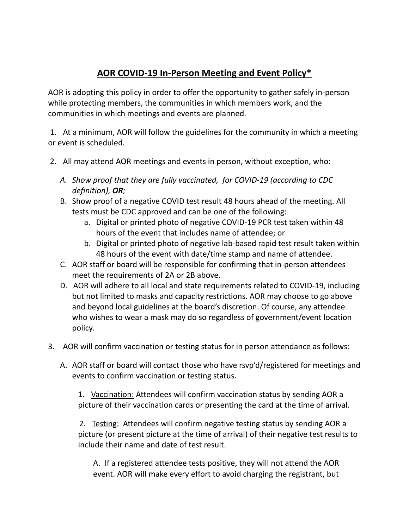## **AOR COVID-19 In-Person Meeting and Event Policy\***

AOR is adopting this policy in order to offer the opportunity to gather safely in-person while protecting members, the communities in which members work, and the communities in which meetings and events are planned.

1. At a minimum, AOR will follow the guidelines for the community in which a meeting or event is scheduled.

- 2. All may attend AOR meetings and events in person, without exception, who:
	- *A. Show proof that they are fully vaccinated, for COVID-19 (according to CDC definition), OR;*
	- B. Show proof of a negative COVID test result 48 hours ahead of the meeting. All tests must be CDC approved and can be one of the following:
		- a. Digital or printed photo of negative COVID-19 PCR test taken within 48 hours of the event that includes name of attendee; or
		- b. Digital or printed photo of negative lab-based rapid test result taken within 48 hours of the event with date/time stamp and name of attendee.
	- C. AOR staff or board will be responsible for confirming that in-person attendees meet the requirements of 2A or 2B above.
	- D. AOR will adhere to all local and state requirements related to COVID-19, including but not limited to masks and capacity restrictions. AOR may choose to go above and beyond local guidelines at the board's discretion. Of course, any attendee who wishes to wear a mask may do so regardless of government/event location policy.
- 3. AOR will confirm vaccination or testing status for in person attendance as follows:
	- A. AOR staff or board will contact those who have rsvp'd/registered for meetings and events to confirm vaccination or testing status.

1. Vaccination: Attendees will confirm vaccination status by sending AOR a picture of their vaccination cards or presenting the card at the time of arrival.

2. Testing: Attendees will confirm negative testing status by sending AOR a picture (or present picture at the time of arrival) of their negative test results to include their name and date of test result.

A. If a registered attendee tests positive, they will not attend the AOR event. AOR will make every effort to avoid charging the registrant, but